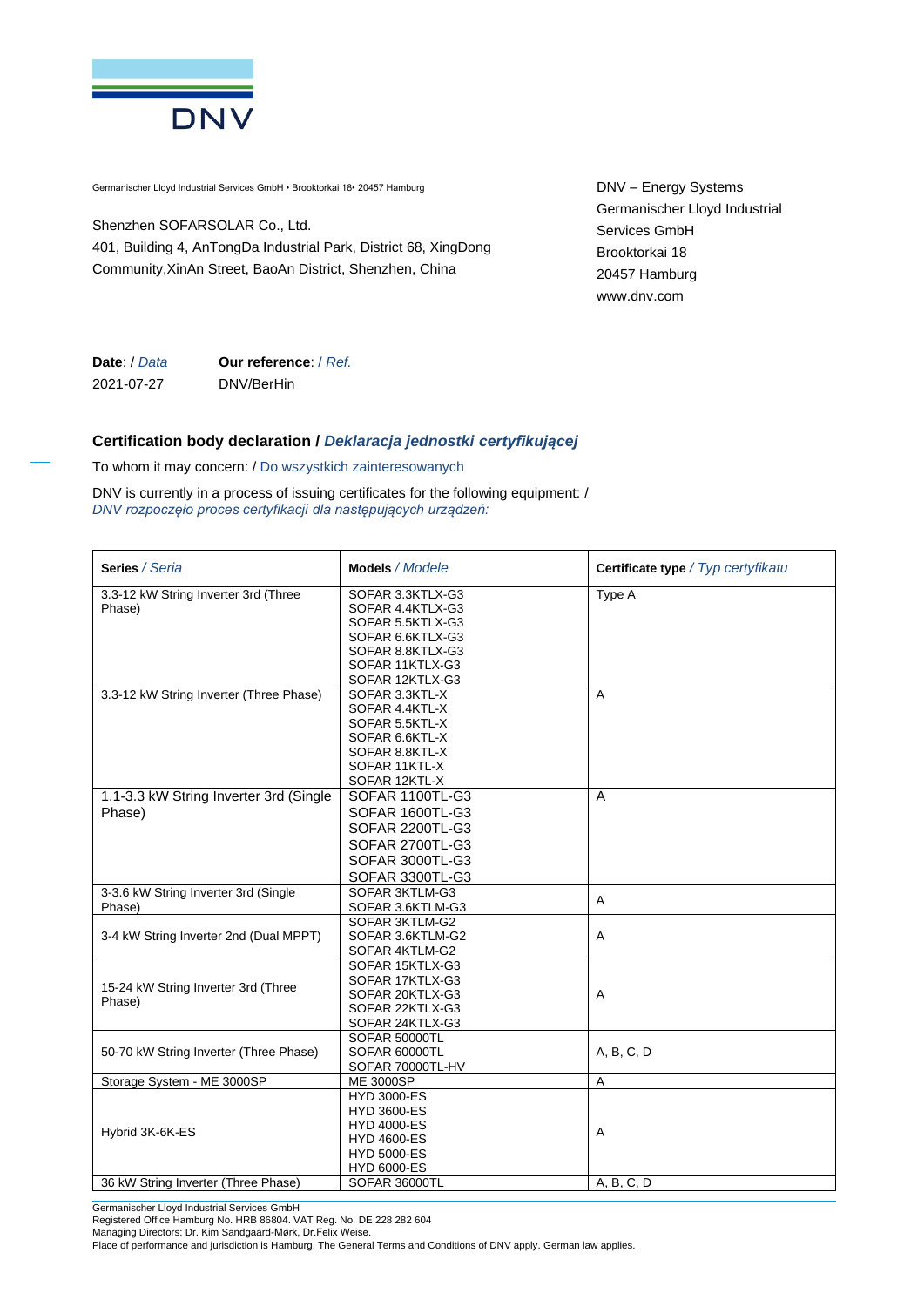

Germanischer Lloyd Industrial Services GmbH • Brooktorkai 18• 20457 Hamburg

Shenzhen SOFARSOLAR Co., Ltd. 401, Building 4, AnTongDa Industrial Park, District 68, XingDong Community,XinAn Street, BaoAn District, Shenzhen, China

DNV – Energy Systems Germanischer Lloyd Industrial Services GmbH Brooktorkai 18 20457 Hamburg www.dnv.com

**Date**: / *Data* 2021-07-27 **Our reference**: / *Ref.* DNV/BerHin

## **Certification body declaration /** *Deklaracja jednostki certyfikującej*

To whom it may concern: / Do wszystkich zainteresowanych

DNV is currently in a process of issuing certificates for the following equipment: / *DNV rozpoczęło proces certyfikacji dla następujących urządzeń:*

| Series / Seria                          | Models / Modele                    | Certificate type / Typ certyfikatu |
|-----------------------------------------|------------------------------------|------------------------------------|
| 3.3-12 kW String Inverter 3rd (Three    | SOFAR 3.3KTLX-G3                   | Type A                             |
| Phase)                                  | SOFAR 4.4KTLX-G3                   |                                    |
|                                         | SOFAR 5.5KTLX-G3                   |                                    |
|                                         | SOFAR 6.6KTLX-G3                   |                                    |
|                                         | SOFAR 8.8KTLX-G3                   |                                    |
|                                         | SOFAR 11KTLX-G3                    |                                    |
|                                         | SOFAR 12KTLX-G3                    |                                    |
| 3.3-12 kW String Inverter (Three Phase) | SOFAR 3.3KTL-X                     | A                                  |
|                                         | SOFAR 4.4KTL-X                     |                                    |
|                                         | SOFAR 5.5KTL-X                     |                                    |
|                                         | SOFAR 6.6KTL-X<br>SOFAR 8.8KTL-X   |                                    |
|                                         | SOFAR 11KTL-X                      |                                    |
|                                         | SOFAR 12KTL-X                      |                                    |
| 1.1-3.3 kW String Inverter 3rd (Single  | SOFAR 1100TL-G3                    | A                                  |
| Phase)                                  | SOFAR 1600TL-G3                    |                                    |
|                                         | <b>SOFAR 2200TL-G3</b>             |                                    |
|                                         |                                    |                                    |
|                                         | SOFAR 2700TL-G3                    |                                    |
|                                         | SOFAR 3000TL-G3                    |                                    |
|                                         | SOFAR 3300TL-G3                    |                                    |
| 3-3.6 kW String Inverter 3rd (Single    | SOFAR 3KTLM-G3                     | A                                  |
| Phase)                                  | SOFAR 3.6KTLM-G3                   |                                    |
|                                         | SOFAR 3KTLM-G2                     |                                    |
| 3-4 kW String Inverter 2nd (Dual MPPT)  | SOFAR 3.6KTLM-G2                   | A                                  |
|                                         | SOFAR 4KTLM-G2                     |                                    |
|                                         | SOFAR 15KTLX-G3                    |                                    |
| 15-24 kW String Inverter 3rd (Three     | SOFAR 17KTLX-G3                    |                                    |
| Phase)                                  | SOFAR 20KTLX-G3<br>SOFAR 22KTLX-G3 | A                                  |
|                                         | SOFAR 24KTLX-G3                    |                                    |
|                                         | SOFAR 50000TL                      |                                    |
| 50-70 kW String Inverter (Three Phase)  | SOFAR 60000TL                      | A, B, C, D                         |
|                                         | SOFAR 70000TL-HV                   |                                    |
| Storage System - ME 3000SP              | <b>ME 3000SP</b>                   | $\mathsf{A}$                       |
|                                         | <b>HYD 3000-ES</b>                 |                                    |
|                                         | <b>HYD 3600-ES</b>                 |                                    |
|                                         | <b>HYD 4000-ES</b>                 |                                    |
| Hybrid 3K-6K-ES                         | <b>HYD 4600-ES</b>                 | Α                                  |
|                                         | <b>HYD 5000-ES</b>                 |                                    |
|                                         | <b>HYD 6000-ES</b>                 |                                    |
| 36 kW String Inverter (Three Phase)     | SOFAR 36000TL                      | A, B, C, D                         |

Germanischer Lloyd Industrial Services GmbH

Registered Office Hamburg No. HRB 86804. VAT Reg. No. DE 228 282 604

Managing Directors: Dr. Kim Sandgaard-Mørk, Dr.Felix Weise.

Place of performance and jurisdiction is Hamburg. The General Terms and Conditions of DNV apply. German law applies.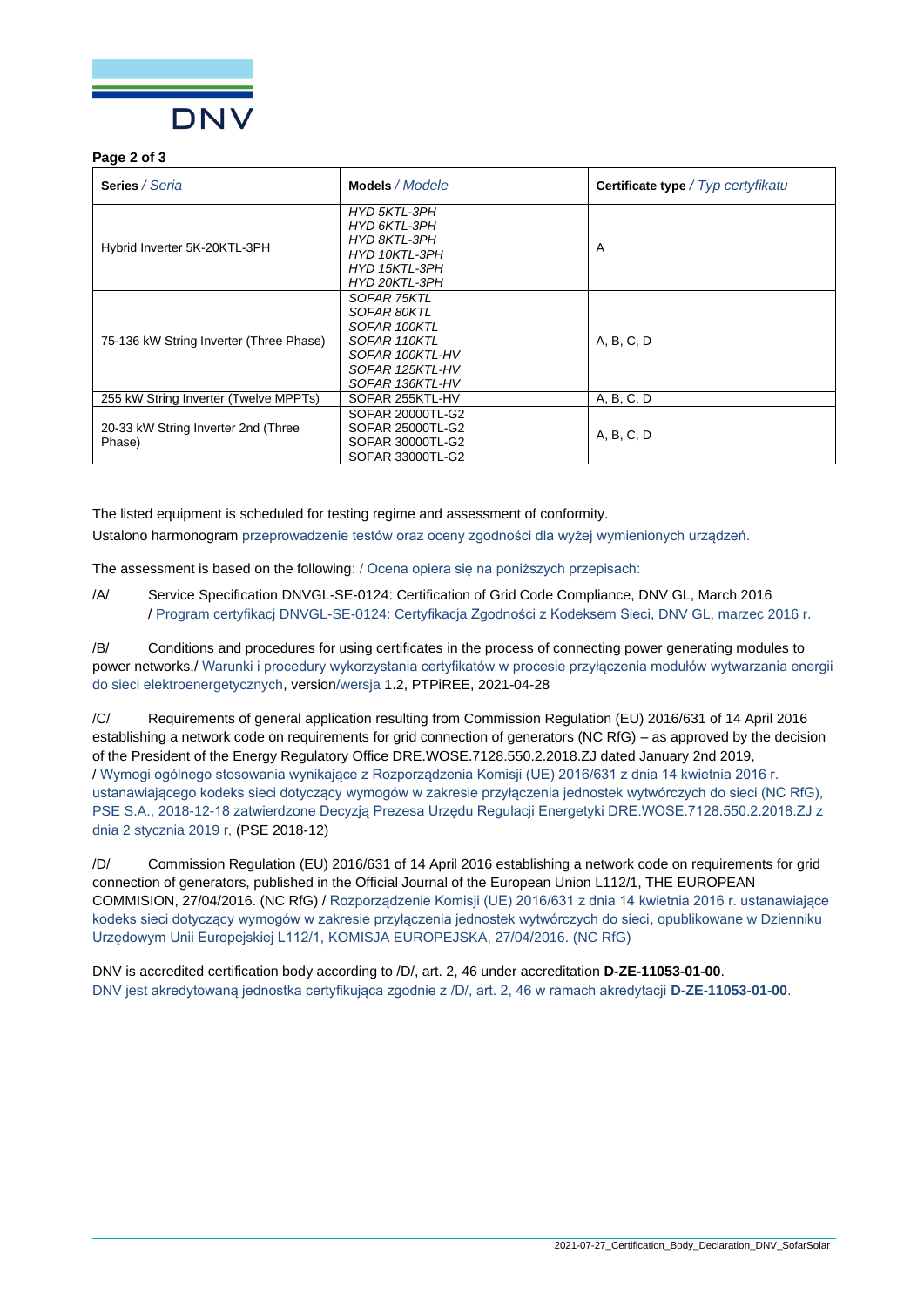

## **Page 2 of 3**

| <b>Series</b> / Seria                         | Models / Modele                                                                                                     | <b>Certificate type</b> / Typ certyfikatu |
|-----------------------------------------------|---------------------------------------------------------------------------------------------------------------------|-------------------------------------------|
| Hybrid Inverter 5K-20KTL-3PH                  | <b>HYD 5KTL-3PH</b><br>HYD 6KTL-3PH<br>HYD 8KTL-3PH<br>HYD 10KTL-3PH<br>HYD 15KTL-3PH<br>HYD 20KTL-3PH              | A                                         |
| 75-136 kW String Inverter (Three Phase)       | SOFAR 75KTL<br>SOFAR 80KTL<br>SOFAR 100KTL<br>SOFAR 110KTL<br>SOFAR 100KTL-HV<br>SOFAR 125KTL-HV<br>SOFAR 136KTL-HV | A, B, C, D                                |
| 255 kW String Inverter (Twelve MPPTs)         | SOFAR 255KTL-HV                                                                                                     | A, B, C, D                                |
| 20-33 kW String Inverter 2nd (Three<br>Phase) | SOFAR 20000TL-G2<br>SOFAR 25000TL-G2<br>SOFAR 30000TL-G2<br>SOFAR 33000TL-G2                                        | A, B, C, D                                |

The listed equipment is scheduled for testing regime and assessment of conformity.

Ustalono harmonogram przeprowadzenie testów oraz oceny zgodności dla wyżej wymienionych urządzeń.

The assessment is based on the following: / Ocena opiera się na poniższych przepisach:

/A/ Service Specification DNVGL-SE-0124: Certification of Grid Code Compliance, DNV GL, March 2016 / Program certyfikacj DNVGL-SE-0124: Certyfikacja Zgodności z Kodeksem Sieci, DNV GL, marzec 2016 r.

/B/ Conditions and procedures for using certificates in the process of connecting power generating modules to power networks,/ Warunki i procedury wykorzystania certyfikatów w procesie przyłączenia modułów wytwarzania energii do sieci elektroenergetycznych, version/wersja 1.2, PTPiREE, 2021-04-28

/C/ Requirements of general application resulting from Commission Regulation (EU) 2016/631 of 14 April 2016 establishing a network code on requirements for grid connection of generators (NC RfG) – as approved by the decision of the President of the Energy Regulatory Office DRE.WOSE.7128.550.2.2018.ZJ dated January 2nd 2019, / Wymogi ogólnego stosowania wynikające z Rozporządzenia Komisji (UE) 2016/631 z dnia 14 kwietnia 2016 r. ustanawiającego kodeks sieci dotyczący wymogów w zakresie przyłączenia jednostek wytwórczych do sieci (NC RfG), PSE S.A., 2018-12-18 zatwierdzone Decyzją Prezesa Urzędu Regulacji Energetyki DRE.WOSE.7128.550.2.2018.ZJ z dnia 2 stycznia 2019 r, (PSE 2018-12)

/D/ Commission Regulation (EU) 2016/631 of 14 April 2016 establishing a network code on requirements for grid connection of generators, published in the Official Journal of the European Union L112/1, THE EUROPEAN COMMISION, 27/04/2016. (NC RfG) / Rozporządzenie Komisji (UE) 2016/631 z dnia 14 kwietnia 2016 r. ustanawiające kodeks sieci dotyczący wymogów w zakresie przyłączenia jednostek wytwórczych do sieci, opublikowane w Dzienniku Urzędowym Unii Europejskiej L112/1, KOMISJA EUROPEJSKA, 27/04/2016. (NC RfG)

DNV is accredited certification body according to /D/, art. 2, 46 under accreditation **D-ZE-11053-01-00**. DNV jest akredytowaną jednostka certyfikująca zgodnie z /D/, art. 2, 46 w ramach akredytacji **D-ZE-11053-01-00**.